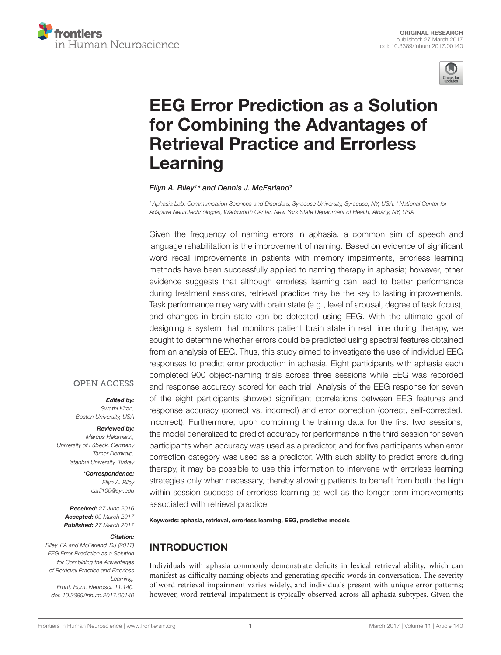



# [EEG Error Prediction as a Solution](http://journal.frontiersin.org/article/10.3389/fnhum.2017.00140/abstract) for Combining the Advantages of Retrieval Practice and Errorless Learning

#### [Ellyn A. Riley](http://loop.frontiersin.org/people/332205/overview)<sup>1</sup> \* and [Dennis J. McFarland](http://loop.frontiersin.org/people/335904/overview)<sup>2</sup>

<sup>1</sup> Aphasia Lab, Communication Sciences and Disorders, Syracuse University, Syracuse, NY, USA, <sup>2</sup> National Center for Adaptive Neurotechnologies, Wadsworth Center, New York State Department of Health, Albany, NY, USA

Given the frequency of naming errors in aphasia, a common aim of speech and language rehabilitation is the improvement of naming. Based on evidence of significant word recall improvements in patients with memory impairments, errorless learning methods have been successfully applied to naming therapy in aphasia; however, other evidence suggests that although errorless learning can lead to better performance during treatment sessions, retrieval practice may be the key to lasting improvements. Task performance may vary with brain state (e.g., level of arousal, degree of task focus), and changes in brain state can be detected using EEG. With the ultimate goal of designing a system that monitors patient brain state in real time during therapy, we sought to determine whether errors could be predicted using spectral features obtained from an analysis of EEG. Thus, this study aimed to investigate the use of individual EEG responses to predict error production in aphasia. Eight participants with aphasia each completed 900 object-naming trials across three sessions while EEG was recorded and response accuracy scored for each trial. Analysis of the EEG response for seven of the eight participants showed significant correlations between EEG features and response accuracy (correct vs. incorrect) and error correction (correct, self-corrected, incorrect). Furthermore, upon combining the training data for the first two sessions, the model generalized to predict accuracy for performance in the third session for seven participants when accuracy was used as a predictor, and for five participants when error correction category was used as a predictor. With such ability to predict errors during therapy, it may be possible to use this information to intervene with errorless learning strategies only when necessary, thereby allowing patients to benefit from both the high within-session success of errorless learning as well as the longer-term improvements associated with retrieval practice.

Keywords: aphasia, retrieval, errorless learning, EEG, predictive models

# INTRODUCTION

Individuals with aphasia commonly demonstrate deficits in lexical retrieval ability, which can manifest as difficulty naming objects and generating specific words in conversation. The severity of word retrieval impairment varies widely, and individuals present with unique error patterns; however, word retrieval impairment is typically observed across all aphasia subtypes. Given the

# **OPEN ACCESS**

# Edited by:

Swathi Kiran, Boston University, USA

#### Reviewed by:

Marcus Heldmann, University of Lübeck, Germany Tamer Demiralp, Istanbul University, Turkey

> \*Correspondence: Ellyn A. Riley earil100@syr.edu

Received: 27 June 2016 Accepted: 09 March 2017 Published: 27 March 2017

#### Citation:

Riley EA and McFarland DJ (2017) EEG Error Prediction as a Solution for Combining the Advantages of Retrieval Practice and Errorless Learning. Front. Hum. Neurosci. 11:140. doi: [10.3389/fnhum.2017.00140](https://doi.org/10.3389/fnhum.2017.00140)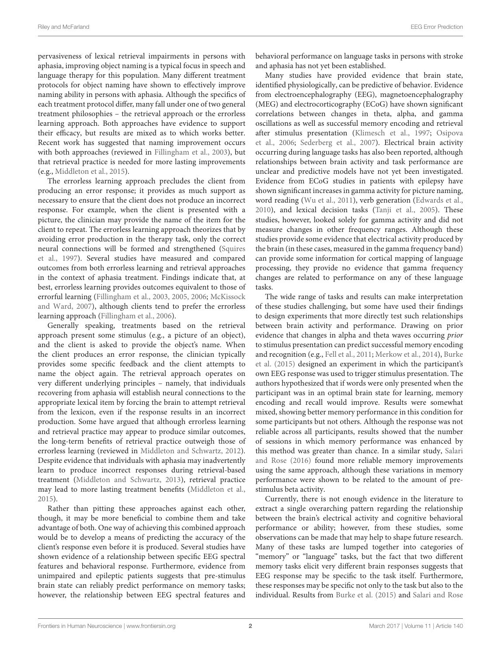pervasiveness of lexical retrieval impairments in persons with aphasia, improving object naming is a typical focus in speech and language therapy for this population. Many different treatment protocols for object naming have shown to effectively improve naming ability in persons with aphasia. Although the specifics of each treatment protocol differ, many fall under one of two general treatment philosophies – the retrieval approach or the errorless learning approach. Both approaches have evidence to support their efficacy, but results are mixed as to which works better. Recent work has suggested that naming improvement occurs with both approaches (reviewed in [Fillingham et al.,](#page-8-0) [2003\)](#page-8-0), but that retrieval practice is needed for more lasting improvements (e.g., [Middleton et al.,](#page-9-0) [2015\)](#page-9-0).

The errorless learning approach precludes the client from producing an error response; it provides as much support as necessary to ensure that the client does not produce an incorrect response. For example, when the client is presented with a picture, the clinician may provide the name of the item for the client to repeat. The errorless learning approach theorizes that by avoiding error production in the therapy task, only the correct neural connections will be formed and strengthened [\(Squires](#page-9-1) [et al.,](#page-9-1) [1997\)](#page-9-1). Several studies have measured and compared outcomes from both errorless learning and retrieval approaches in the context of aphasia treatment. Findings indicate that, at best, errorless learning provides outcomes equivalent to those of errorful learning [\(Fillingham et al.,](#page-8-0) [2003,](#page-8-0) [2005,](#page-8-1) [2006;](#page-8-2) [McKissock](#page-9-2) [and Ward,](#page-9-2) [2007\)](#page-9-2), although clients tend to prefer the errorless learning approach [\(Fillingham et al.,](#page-8-2) [2006\)](#page-8-2).

Generally speaking, treatments based on the retrieval approach present some stimulus (e.g., a picture of an object), and the client is asked to provide the object's name. When the client produces an error response, the clinician typically provides some specific feedback and the client attempts to name the object again. The retrieval approach operates on very different underlying principles – namely, that individuals recovering from aphasia will establish neural connections to the appropriate lexical item by forcing the brain to attempt retrieval from the lexicon, even if the response results in an incorrect production. Some have argued that although errorless learning and retrieval practice may appear to produce similar outcomes, the long-term benefits of retrieval practice outweigh those of errorless learning (reviewed in [Middleton and Schwartz,](#page-9-3) [2012\)](#page-9-3). Despite evidence that individuals with aphasia may inadvertently learn to produce incorrect responses during retrieval-based treatment [\(Middleton and Schwartz,](#page-9-4) [2013\)](#page-9-4), retrieval practice may lead to more lasting treatment benefits [\(Middleton et al.,](#page-9-0) [2015\)](#page-9-0).

Rather than pitting these approaches against each other, though, it may be more beneficial to combine them and take advantage of both. One way of achieving this combined approach would be to develop a means of predicting the accuracy of the client's response even before it is produced. Several studies have shown evidence of a relationship between specific EEG spectral features and behavioral response. Furthermore, evidence from unimpaired and epileptic patients suggests that pre-stimulus brain state can reliably predict performance on memory tasks; however, the relationship between EEG spectral features and

behavioral performance on language tasks in persons with stroke and aphasia has not yet been established.

Many studies have provided evidence that brain state, identified physiologically, can be predictive of behavior. Evidence from electroencephalography (EEG), magnetoencephalography (MEG) and electrocorticography (ECoG) have shown significant correlations between changes in theta, alpha, and gamma oscillations as well as successful memory encoding and retrieval after stimulus presentation [\(Klimesch et al.,](#page-8-3) [1997;](#page-8-3) [Osipova](#page-9-5) [et al.,](#page-9-5) [2006;](#page-9-5) [Sederberg et al.,](#page-9-6) [2007\)](#page-9-6). Electrical brain activity occurring during language tasks has also been reported, although relationships between brain activity and task performance are unclear and predictive models have not yet been investigated. Evidence from ECoG studies in patients with epilepsy have shown significant increases in gamma activity for picture naming, word reading [\(Wu et al.,](#page-9-7) [2011\)](#page-9-7), verb generation [\(Edwards et al.,](#page-8-4) [2010\)](#page-8-4), and lexical decision tasks [\(Tanji et al.,](#page-9-8) [2005\)](#page-9-8). These studies, however, looked solely for gamma activity and did not measure changes in other frequency ranges. Although these studies provide some evidence that electrical activity produced by the brain (in these cases, measured in the gamma frequency band) can provide some information for cortical mapping of language processing, they provide no evidence that gamma frequency changes are related to performance on any of these language tasks.

The wide range of tasks and results can make interpretation of these studies challenging, but some have used their findings to design experiments that more directly test such relationships between brain activity and performance. Drawing on prior evidence that changes in alpha and theta waves occurring prior to stimulus presentation can predict successful memory encoding and recognition (e.g., [Fell et al.,](#page-8-5) [2011;](#page-8-5) [Merkow et al.,](#page-9-9) [2014\)](#page-9-9), [Burke](#page-8-6) [et al.](#page-8-6) [\(2015\)](#page-8-6) designed an experiment in which the participant's own EEG response was used to trigger stimulus presentation. The authors hypothesized that if words were only presented when the participant was in an optimal brain state for learning, memory encoding and recall would improve. Results were somewhat mixed, showing better memory performance in this condition for some participants but not others. Although the response was not reliable across all participants, results showed that the number of sessions in which memory performance was enhanced by this method was greater than chance. In a similar study, [Salari](#page-9-10) [and Rose](#page-9-10) [\(2016\)](#page-9-10) found more reliable memory improvements using the same approach, although these variations in memory performance were shown to be related to the amount of prestimulus beta activity.

Currently, there is not enough evidence in the literature to extract a single overarching pattern regarding the relationship between the brain's electrical activity and cognitive behavioral performance or ability; however, from these studies, some observations can be made that may help to shape future research. Many of these tasks are lumped together into categories of "memory" or "language" tasks, but the fact that two different memory tasks elicit very different brain responses suggests that EEG response may be specific to the task itself. Furthermore, these responses may be specific not only to the task but also to the individual. Results from [Burke et al.](#page-8-6) [\(2015\)](#page-8-6) and [Salari and Rose](#page-9-10)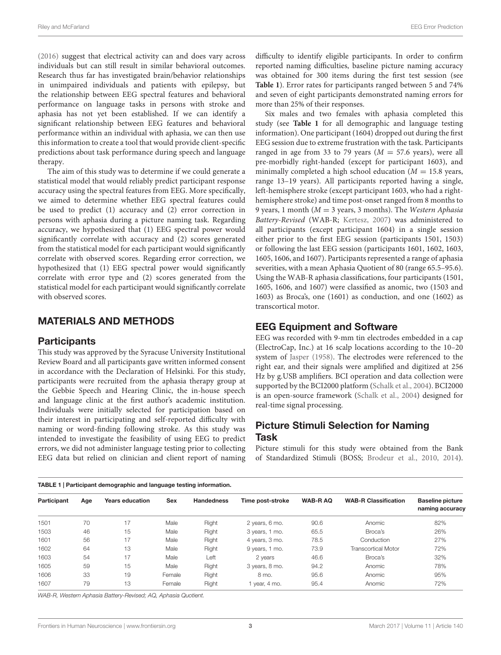[\(2016\)](#page-9-10) suggest that electrical activity can and does vary across individuals but can still result in similar behavioral outcomes. Research thus far has investigated brain/behavior relationships in unimpaired individuals and patients with epilepsy, but the relationship between EEG spectral features and behavioral performance on language tasks in persons with stroke and aphasia has not yet been established. If we can identify a significant relationship between EEG features and behavioral performance within an individual with aphasia, we can then use this information to create a tool that would provide client-specific predictions about task performance during speech and language therapy.

The aim of this study was to determine if we could generate a statistical model that would reliably predict participant response accuracy using the spectral features from EEG. More specifically, we aimed to determine whether EEG spectral features could be used to predict (1) accuracy and (2) error correction in persons with aphasia during a picture naming task. Regarding accuracy, we hypothesized that (1) EEG spectral power would significantly correlate with accuracy and (2) scores generated from the statistical model for each participant would significantly correlate with observed scores. Regarding error correction, we hypothesized that (1) EEG spectral power would significantly correlate with error type and (2) scores generated from the statistical model for each participant would significantly correlate with observed scores.

# MATERIALS AND METHODS

#### **Participants**

This study was approved by the Syracuse University Institutional Review Board and all participants gave written informed consent in accordance with the Declaration of Helsinki. For this study, participants were recruited from the aphasia therapy group at the Gebbie Speech and Hearing Clinic, the in-house speech and language clinic at the first author's academic institution. Individuals were initially selected for participation based on their interest in participating and self-reported difficulty with naming or word-finding following stroke. As this study was intended to investigate the feasibility of using EEG to predict errors, we did not administer language testing prior to collecting EEG data but relied on clinician and client report of naming difficulty to identify eligible participants. In order to confirm reported naming difficulties, baseline picture naming accuracy was obtained for 300 items during the first test session (see **[Table 1](#page-2-0)**). Error rates for participants ranged between 5 and 74% and seven of eight participants demonstrated naming errors for more than 25% of their responses.

Six males and two females with aphasia completed this study (see **[Table 1](#page-2-0)** for all demographic and language testing information). One participant (1604) dropped out during the first EEG session due to extreme frustration with the task. Participants ranged in age from 33 to 79 years ( $M = 57.6$  years), were all pre-morbidly right-handed (except for participant 1603), and minimally completed a high school education ( $M = 15.8$  years, range 13–19 years). All participants reported having a single, left-hemisphere stroke (except participant 1603, who had a righthemisphere stroke) and time post-onset ranged from 8 months to 9 years, 1 month ( $M = 3$  years, 3 months). The Western Aphasia Battery-Revised (WAB-R; [Kertesz,](#page-8-7) [2007\)](#page-8-7) was administered to all participants (except participant 1604) in a single session either prior to the first EEG session (participants 1501, 1503) or following the last EEG session (participants 1601, 1602, 1603, 1605, 1606, and 1607). Participants represented a range of aphasia severities, with a mean Aphasia Quotient of 80 (range 65.5–95.6). Using the WAB-R aphasia classifications, four participants (1501, 1605, 1606, and 1607) were classified as anomic, two (1503 and 1603) as Broca's, one (1601) as conduction, and one (1602) as transcortical motor.

# EEG Equipment and Software

EEG was recorded with 9-mm tin electrodes embedded in a cap (ElectroCap, Inc.) at 16 scalp locations according to the 10–20 system of [Jasper](#page-8-8) [\(1958\)](#page-8-8). The electrodes were referenced to the right ear, and their signals were amplified and digitized at 256 Hz by g.USB amplifiers. BCI operation and data collection were supported by the BCI2000 platform [\(Schalk et al.,](#page-9-11) [2004\)](#page-9-11). BCI2000 is an open-source framework [\(Schalk et al.,](#page-9-11) [2004\)](#page-9-11) designed for real-time signal processing.

# Picture Stimuli Selection for Naming Task

Picture stimuli for this study were obtained from the Bank of Standardized Stimuli (BOSS; [Brodeur et al.,](#page-8-9) [2010,](#page-8-9) [2014\)](#page-8-10).

<span id="page-2-0"></span>

| <b>TABLE 1</b>   Participant demographic and language testing information. |     |                        |        |                   |                  |                |                             |                                            |  |  |
|----------------------------------------------------------------------------|-----|------------------------|--------|-------------------|------------------|----------------|-----------------------------|--------------------------------------------|--|--|
| Participant                                                                | Age | <b>Years education</b> | Sex    | <b>Handedness</b> | Time post-stroke | <b>WAB-RAQ</b> | <b>WAB-R Classification</b> | <b>Baseline picture</b><br>naming accuracy |  |  |
| 1501                                                                       | 70  | 17                     | Male   | Right             | 2 years, 6 mo.   | 90.6           | Anomic                      | 82%                                        |  |  |
| 1503                                                                       | 46  | 15                     | Male   | Right             | 3 years, 1 mo.   | 65.5           | Broca's                     | 26%                                        |  |  |
| 1601                                                                       | 56  | 17                     | Male   | Right             | 4 years, 3 mo.   | 78.5           | Conduction                  | 27%                                        |  |  |
| 1602                                                                       | 64  | 13                     | Male   | Right             | 9 years, 1 mo.   | 73.9           | <b>Transcortical Motor</b>  | 72%                                        |  |  |
| 1603                                                                       | 54  | 17                     | Male   | Left              | 2 years          | 46.6           | Broca's                     | 32%                                        |  |  |
| 1605                                                                       | 59  | 15                     | Male   | Right             | 3 years, 8 mo.   | 94.2           | Anomic                      | 78%                                        |  |  |
| 1606                                                                       | 33  | 19                     | Female | Right             | 8 mo.            | 95.6           | Anomic                      | 95%                                        |  |  |
| 1607                                                                       | 79  | 13                     | Female | Right             | 1 year, 4 mo.    | 95.4           | Anomic                      | 72%                                        |  |  |

WAB-R, Western Aphasia Battery-Revised; AQ, Aphasia Quotient.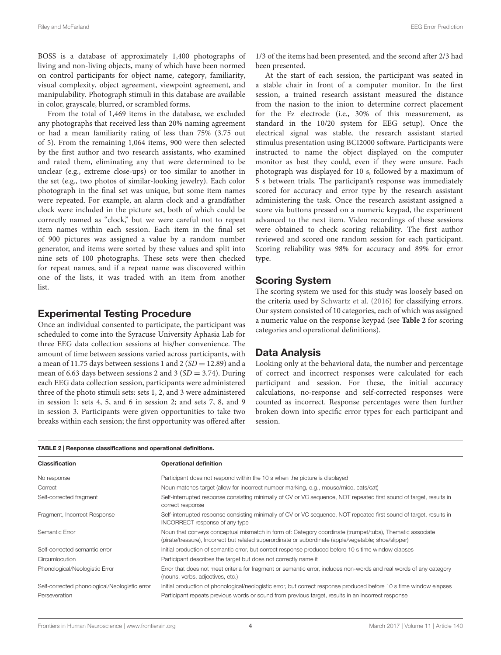BOSS is a database of approximately 1,400 photographs of living and non-living objects, many of which have been normed on control participants for object name, category, familiarity, visual complexity, object agreement, viewpoint agreement, and manipulability. Photograph stimuli in this database are available in color, grayscale, blurred, or scrambled forms.

From the total of 1,469 items in the database, we excluded any photographs that received less than 20% naming agreement or had a mean familiarity rating of less than 75% (3.75 out of 5). From the remaining 1,064 items, 900 were then selected by the first author and two research assistants, who examined and rated them, eliminating any that were determined to be unclear (e.g., extreme close-ups) or too similar to another in the set (e.g., two photos of similar-looking jewelry). Each color photograph in the final set was unique, but some item names were repeated. For example, an alarm clock and a grandfather clock were included in the picture set, both of which could be correctly named as "clock," but we were careful not to repeat item names within each session. Each item in the final set of 900 pictures was assigned a value by a random number generator, and items were sorted by these values and split into nine sets of 100 photographs. These sets were then checked for repeat names, and if a repeat name was discovered within one of the lists, it was traded with an item from another list.

#### Experimental Testing Procedure

Once an individual consented to participate, the participant was scheduled to come into the Syracuse University Aphasia Lab for three EEG data collection sessions at his/her convenience. The amount of time between sessions varied across participants, with a mean of 11.75 days between sessions 1 and 2 ( $SD = 12.89$ ) and a mean of 6.63 days between sessions 2 and 3 ( $SD = 3.74$ ). During each EEG data collection session, participants were administered three of the photo stimuli sets: sets 1, 2, and 3 were administered in session 1; sets 4, 5, and 6 in session 2; and sets 7, 8, and 9 in session 3. Participants were given opportunities to take two breaks within each session; the first opportunity was offered after

1/3 of the items had been presented, and the second after 2/3 had been presented.

At the start of each session, the participant was seated in a stable chair in front of a computer monitor. In the first session, a trained research assistant measured the distance from the nasion to the inion to determine correct placement for the Fz electrode (i.e., 30% of this measurement, as standard in the 10/20 system for EEG setup). Once the electrical signal was stable, the research assistant started stimulus presentation using BCI2000 software. Participants were instructed to name the object displayed on the computer monitor as best they could, even if they were unsure. Each photograph was displayed for 10 s, followed by a maximum of 5 s between trials. The participant's response was immediately scored for accuracy and error type by the research assistant administering the task. Once the research assistant assigned a score via buttons pressed on a numeric keypad, the experiment advanced to the next item. Video recordings of these sessions were obtained to check scoring reliability. The first author reviewed and scored one random session for each participant. Scoring reliability was 98% for accuracy and 89% for error type.

## Scoring System

The scoring system we used for this study was loosely based on the criteria used by [Schwartz et al.](#page-9-12) [\(2016\)](#page-9-12) for classifying errors. Our system consisted of 10 categories, each of which was assigned a numeric value on the response keypad (see **[Table 2](#page-3-0)** for scoring categories and operational definitions).

#### Data Analysis

Looking only at the behavioral data, the number and percentage of correct and incorrect responses were calculated for each participant and session. For these, the initial accuracy calculations, no-response and self-corrected responses were counted as incorrect. Response percentages were then further broken down into specific error types for each participant and session.

<span id="page-3-0"></span>

| TABLE 2   Response classifications and operational definitions. |                                                                                                                                                                                                                   |  |  |  |  |  |  |
|-----------------------------------------------------------------|-------------------------------------------------------------------------------------------------------------------------------------------------------------------------------------------------------------------|--|--|--|--|--|--|
| <b>Classification</b>                                           | <b>Operational definition</b>                                                                                                                                                                                     |  |  |  |  |  |  |
| No response                                                     | Participant does not respond within the 10 s when the picture is displayed                                                                                                                                        |  |  |  |  |  |  |
| Correct                                                         | Noun matches target (allow for incorrect number marking, e.g., mouse/mice, cats/cat)                                                                                                                              |  |  |  |  |  |  |
| Self-corrected fragment                                         | Self-interrupted response consisting minimally of CV or VC sequence, NOT repeated first sound of target, results in<br>correct response                                                                           |  |  |  |  |  |  |
| Fragment, Incorrect Response                                    | Self-interrupted response consisting minimally of CV or VC sequence, NOT repeated first sound of target, results in<br>INCORRECT response of any type                                                             |  |  |  |  |  |  |
| Semantic Error                                                  | Noun that conveys conceptual mismatch in form of: Category coordinate (trumpet/tuba), Thematic associate<br>(pirate/treasure), Incorrect but related superordinate or subordinate (apple/vegetable; shoe/slipper) |  |  |  |  |  |  |
| Self-corrected semantic error                                   | Initial production of semantic error, but correct response produced before 10 s time window elapses                                                                                                               |  |  |  |  |  |  |
| Circumlocution                                                  | Participant describes the target but does not correctly name it                                                                                                                                                   |  |  |  |  |  |  |
| Phonological/Neologistic Error                                  | Error that does not meet criteria for fragment or semantic error, includes non-words and real words of any category<br>(nouns, verbs, adjectives, etc.)                                                           |  |  |  |  |  |  |
| Self-corrected phonological/Neologistic error                   | Initial production of phonological/neologistic error, but correct response produced before 10 s time window elapses                                                                                               |  |  |  |  |  |  |
| Perseveration                                                   | Participant repeats previous words or sound from previous target, results in an incorrect response                                                                                                                |  |  |  |  |  |  |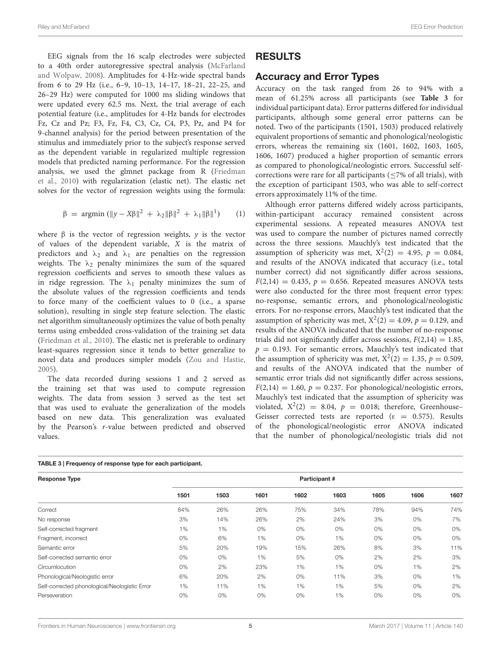EEG signals from the 16 scalp electrodes were subjected to a 40th order autoregressive spectral analysis [\(McFarland](#page-9-13) [and Wolpaw,](#page-9-13) [2008\)](#page-9-13). Amplitudes for 4-Hz-wide spectral bands from 6 to 29 Hz (i.e., 6–9, 10–13, 14–17, 18–21, 22–25, and 26–29 Hz) were computed for 1000 ms sliding windows that were updated every 62.5 ms. Next, the trial average of each potential feature (i.e., amplitudes for 4-Hz bands for electrodes Fz, Cz and Pz; F3, Fz, F4, C3, Cz, C4, P3, Pz, and P4 for 9-channel analysis) for the period between presentation of the stimulus and immediately prior to the subject's response served as the dependent variable in regularized multiple regression models that predicted naming performance. For the regression analysis, we used the glmnet package from R [\(Friedman](#page-8-11) [et al.,](#page-8-11) [2010\)](#page-8-11) with regularization (elastic net). The elastic net solves for the vector of regression weights using the formula:

$$
\beta = \text{argmin} \left( \|y - X\beta\|^2 + \lambda_2 \|\beta\|^2 + \lambda_1 \|\beta\|^1 \right) \qquad (1)
$$

where  $\beta$  is the vector of regression weights, y is the vector of values of the dependent variable, X is the matrix of predictors and  $\lambda_2$  and  $\lambda_1$  are penalties on the regression weights. The  $\lambda_2$  penalty minimizes the sum of the squared regression coefficients and serves to smooth these values as in ridge regression. The  $\lambda_1$  penalty minimizes the sum of the absolute values of the regression coefficients and tends to force many of the coefficient values to 0 (i.e., a sparse solution), resulting in single step feature selection. The elastic net algorithm simultaneously optimizes the value of both penalty terms using embedded cross-validation of the training set data [\(Friedman et al.,](#page-8-11) [2010\)](#page-8-11). The elastic net is preferable to ordinary least-squares regression since it tends to better generalize to novel data and produces simpler models [\(Zou and Hastie,](#page-9-14) [2005\)](#page-9-14).

The data recorded during sessions 1 and 2 served as the training set that was used to compute regression weights. The data from session 3 served as the test set that was used to evaluate the generalization of the models based on new data. This generalization was evaluated by the Pearson's r-value between predicted and observed values.

# RESULTS

#### Accuracy and Error Types

Accuracy on the task ranged from 26 to 94% with a mean of 61.25% across all participants (see **[Table 3](#page-4-0)** for individual participant data). Error patterns differed for individual participants, although some general error patterns can be noted. Two of the participants (1501, 1503) produced relatively equivalent proportions of semantic and phonological/neologistic errors, whereas the remaining six (1601, 1602, 1603, 1605, 1606, 1607) produced a higher proportion of semantic errors as compared to phonological/neologistic errors. Successful selfcorrections were rare for all participants (≤7% of all trials), with the exception of participant 1503, who was able to self-correct errors approximately 11% of the time.

Although error patterns differed widely across participants, within-participant accuracy remained consistent across experimental sessions. A repeated measures ANOVA test was used to compare the number of pictures named correctly across the three sessions. Mauchly's test indicated that the assumption of sphericity was met,  $X^2(2) = 4.95$ ,  $p = 0.084$ , and results of the ANOVA indicated that accuracy (i.e., total number correct) did not significantly differ across sessions,  $F(2,14) = 0.435$ ,  $p = 0.656$ . Repeated measures ANOVA tests were also conducted for the three most frequent error types: no-response, semantic errors, and phonological/neologistic errors. For no-response errors, Mauchly's test indicated that the assumption of sphericity was met,  $X^2(2) = 4.09$ ,  $p = 0.129$ , and results of the ANOVA indicated that the number of no-response trials did not significantly differ across sessions,  $F(2,14) = 1.85$ ,  $p = 0.193$ . For semantic errors, Mauchly's test indicated that the assumption of sphericity was met,  $X^2(2) = 1.35$ ,  $p = 0.509$ , and results of the ANOVA indicated that the number of semantic error trials did not significantly differ across sessions,  $F(2,14) = 1.60, p = 0.237$ . For phonological/neologistic errors, Mauchly's test indicated that the assumption of sphericity was violated,  $X^2(2) = 8.04$ ,  $p = 0.018$ ; therefore, Greenhouse-Geisser corrected tests are reported ( $\epsilon = 0.575$ ). Results of the phonological/neologistic error ANOVA indicated that the number of phonological/neologistic trials did not

| <b>Response Type</b>                          | Participant # |      |      |      |      |      |       |      |  |  |
|-----------------------------------------------|---------------|------|------|------|------|------|-------|------|--|--|
|                                               | 1501          | 1503 | 1601 | 1602 | 1603 | 1605 | 1606  | 1607 |  |  |
| Correct                                       | 84%           | 26%  | 26%  | 75%  | 34%  | 78%  | 94%   | 74%  |  |  |
| No response                                   | 3%            | 14%  | 26%  | 2%   | 24%  | 3%   | $0\%$ | 7%   |  |  |
| Self-corrected fragment                       | 1%            | 1%   | 0%   | 0%   | 0%   | 0%   | 0%    | 0%   |  |  |
| Fragment, incorrect                           | 0%            | 6%   | 1%   | 0%   | 1%   | 0%   | $0\%$ | 0%   |  |  |
| Semantic error                                | 5%            | 20%  | 19%  | 15%  | 26%  | 8%   | 3%    | 11%  |  |  |
| Self-corrected semantic error                 | 0%            | 0%   | 1%   | 5%   | 0%   | 2%   | 2%    | 3%   |  |  |
| Circumlocution                                | 0%            | 2%   | 23%  | 1%   | 1%   | 0%   | 1%    | 2%   |  |  |
| Phonological/Neologistic error                | 6%            | 20%  | 2%   | 0%   | 11%  | 3%   | 0%    | 1%   |  |  |
| Self-corrected phonological/Neologistic Error | 1%            | 11%  | 1%   | 1%   | 1%   | 5%   | $0\%$ | 2%   |  |  |
| Perseveration                                 | 0%            | 0%   | 0%   | 0%   | 1%   | 0%   | 0%    | 0%   |  |  |

#### <span id="page-4-0"></span>TABLE 3 | Frequency of response type for each participant.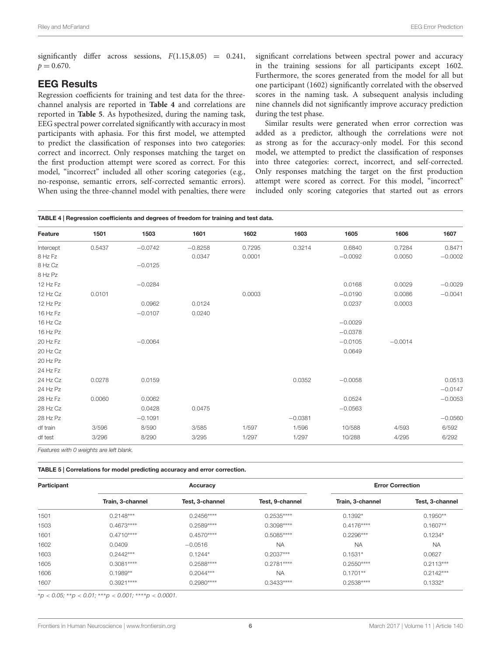significantly differ across sessions,  $F(1.15,8.05) = 0.241$ ,  $p = 0.670$ .

#### EEG Results

Regression coefficients for training and test data for the threechannel analysis are reported in **[Table 4](#page-5-0)** and correlations are reported in **[Table 5](#page-5-1)**. As hypothesized, during the naming task, EEG spectral power correlated significantly with accuracy in most participants with aphasia. For this first model, we attempted to predict the classification of responses into two categories: correct and incorrect. Only responses matching the target on the first production attempt were scored as correct. For this model, "incorrect" included all other scoring categories (e.g., no-response, semantic errors, self-corrected semantic errors). When using the three-channel model with penalties, there were

<span id="page-5-0"></span>TABLE 4 | Regression coefficients and degrees of freedom for training and test data.

significant correlations between spectral power and accuracy in the training sessions for all participants except 1602. Furthermore, the scores generated from the model for all but one participant (1602) significantly correlated with the observed scores in the naming task. A subsequent analysis including nine channels did not significantly improve accuracy prediction during the test phase.

Similar results were generated when error correction was added as a predictor, although the correlations were not as strong as for the accuracy-only model. For this second model, we attempted to predict the classification of responses into three categories: correct, incorrect, and self-corrected. Only responses matching the target on the first production attempt were scored as correct. For this model, "incorrect" included only scoring categories that started out as errors

| Feature   | 1501   | 1503      | 1601      | 1602   | 1603      | 1605      | 1606      | 1607      |
|-----------|--------|-----------|-----------|--------|-----------|-----------|-----------|-----------|
| Intercept | 0.5437 | $-0.0742$ | $-0.8258$ | 0.7295 | 0.3214    | 0.6840    | 0.7284    | 0.8471    |
| 8 Hz Fz   |        |           | 0.0347    | 0.0001 |           | $-0.0092$ | 0.0050    | $-0.0002$ |
| 8 Hz Cz   |        | $-0.0125$ |           |        |           |           |           |           |
| 8 Hz Pz   |        |           |           |        |           |           |           |           |
| 12 Hz Fz  |        | $-0.0284$ |           |        |           | 0.0168    | 0.0029    | $-0.0029$ |
| 12 Hz Cz  | 0.0101 |           |           | 0.0003 |           | $-0.0190$ | 0.0086    | $-0.0041$ |
| 12 Hz Pz  |        | 0.0962    | 0.0124    |        |           | 0.0237    | 0.0003    |           |
| 16 Hz Fz  |        | $-0.0107$ | 0.0240    |        |           |           |           |           |
| 16 Hz Cz  |        |           |           |        |           | $-0.0029$ |           |           |
| 16 Hz Pz  |        |           |           |        |           | $-0.0378$ |           |           |
| 20 Hz Fz  |        | $-0.0064$ |           |        |           | $-0.0105$ | $-0.0014$ |           |
| 20 Hz Cz  |        |           |           |        |           | 0.0649    |           |           |
| 20 Hz Pz  |        |           |           |        |           |           |           |           |
| 24 Hz Fz  |        |           |           |        |           |           |           |           |
| 24 Hz Cz  | 0.0278 | 0.0159    |           |        | 0.0352    | $-0.0058$ |           | 0.0513    |
| 24 Hz Pz  |        |           |           |        |           |           |           | $-0.0147$ |
| 28 Hz Fz  | 0.0060 | 0.0062    |           |        |           | 0.0524    |           | $-0.0053$ |
| 28 Hz Cz  |        | 0.0428    | 0.0475    |        |           | $-0.0563$ |           |           |
| 28 Hz Pz  |        | $-0.1091$ |           |        | $-0.0381$ |           |           | $-0.0560$ |
| df train  | 3/596  | 8/590     | 3/585     | 1/597  | 1/596     | 10/588    | 4/593     | 6/592     |
| df test   | 3/296  | 8/290     | 3/295     | 1/297  | 1/297     | 10/288    | 4/295     | 6/292     |

Features with 0 weights are left blank.

<span id="page-5-1"></span>TABLE 5 | Correlations for model predicting accuracy and error correction.

| Participant |                            | Accuracy        | <b>Error Correction</b> |                  |                 |
|-------------|----------------------------|-----------------|-------------------------|------------------|-----------------|
|             | Train, 3-channel           | Test, 3-channel | Test, 9-channel         | Train, 3-channel | Test, 3-channel |
| 1501        | $0.2148***$                | $0.2456***$     | $0.2535***$             | $0.1392*$        | $0.1950**$      |
| 1503        | $0.4673***$                | $0.2589***$     | 0.3098 ****             | $0.4176***$      | $0.1607**$      |
| 1601        | $0.4710***$                | $0.4570***$     | $0.5085***$             | $0.2296***$      | $0.1234*$       |
| 1602        | 0.0409                     | $-0.0516$       | <b>NA</b>               | <b>NA</b>        | <b>NA</b>       |
| 1603        | $0.2442***$                | $0.1244*$       | $0.2037***$             | $0.1531*$        | 0.0627          |
| 1605        | $0.3081***$                | $0.2588***$     | $0.2781***$             | $0.2550***$      | $0.2113***$     |
| 1606        | $0.1989**$                 | $0.2044***$     | <b>NA</b>               | $0.1701**$       | $0.2142***$     |
| 1607        | $0.3921***$<br>$0.2980***$ |                 | $0.3433***$             | $0.2538***$      | $0.1332*$       |

 ${}^{*}p$  < 0.05;  ${}^{*}p$  < 0.01;  ${}^{***}p$  < 0.001;  ${}^{***}p$  < 0.0001.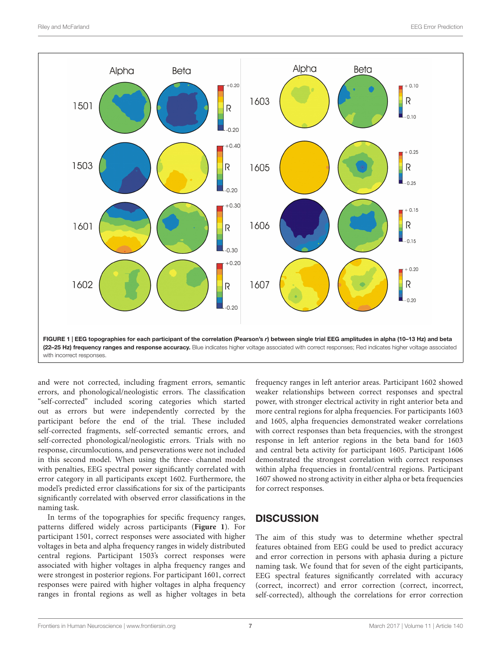

<span id="page-6-0"></span>and were not corrected, including fragment errors, semantic errors, and phonological/neologistic errors. The classification "self-corrected" included scoring categories which started out as errors but were independently corrected by the participant before the end of the trial. These included self-corrected fragments, self-corrected semantic errors, and self-corrected phonological/neologistic errors. Trials with no response, circumlocutions, and perseverations were not included in this second model. When using the three- channel model with penalties, EEG spectral power significantly correlated with error category in all participants except 1602. Furthermore, the model's predicted error classifications for six of the participants significantly correlated with observed error classifications in the naming task.

In terms of the topographies for specific frequency ranges, patterns differed widely across participants (**[Figure 1](#page-6-0)**). For participant 1501, correct responses were associated with higher voltages in beta and alpha frequency ranges in widely distributed central regions. Participant 1503's correct responses were associated with higher voltages in alpha frequency ranges and were strongest in posterior regions. For participant 1601, correct responses were paired with higher voltages in alpha frequency ranges in frontal regions as well as higher voltages in beta frequency ranges in left anterior areas. Participant 1602 showed weaker relationships between correct responses and spectral power, with stronger electrical activity in right anterior beta and more central regions for alpha frequencies. For participants 1603 and 1605, alpha frequencies demonstrated weaker correlations with correct responses than beta frequencies, with the strongest response in left anterior regions in the beta band for 1603 and central beta activity for participant 1605. Participant 1606 demonstrated the strongest correlation with correct responses within alpha frequencies in frontal/central regions. Participant 1607 showed no strong activity in either alpha or beta frequencies for correct responses.

## **DISCUSSION**

The aim of this study was to determine whether spectral features obtained from EEG could be used to predict accuracy and error correction in persons with aphasia during a picture naming task. We found that for seven of the eight participants, EEG spectral features significantly correlated with accuracy (correct, incorrect) and error correction (correct, incorrect, self-corrected), although the correlations for error correction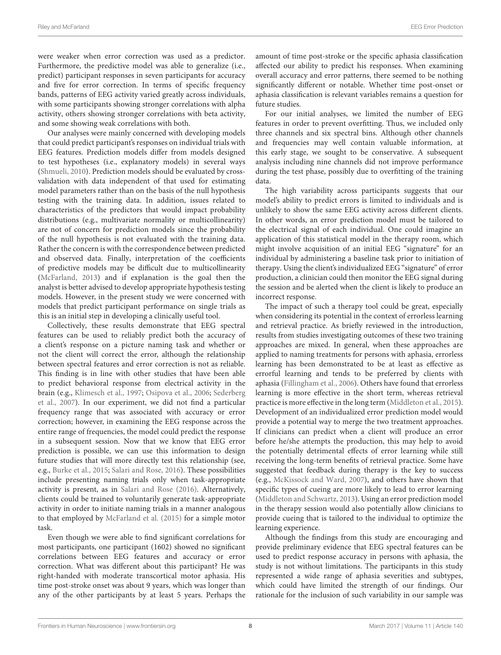were weaker when error correction was used as a predictor. Furthermore, the predictive model was able to generalize (i.e., predict) participant responses in seven participants for accuracy and five for error correction. In terms of specific frequency bands, patterns of EEG activity varied greatly across individuals, with some participants showing stronger correlations with alpha activity, others showing stronger correlations with beta activity, and some showing weak correlations with both.

Our analyses were mainly concerned with developing models that could predict participant's responses on individual trials with EEG features. Prediction models differ from models designed to test hypotheses (i.e., explanatory models) in several ways [\(Shmueli,](#page-9-15) [2010\)](#page-9-15). Prediction models should be evaluated by crossvalidation with data independent of that used for estimating model parameters rather than on the basis of the null hypothesis testing with the training data. In addition, issues related to characteristics of the predictors that would impact probability distributions (e.g., multivariate normality or multicollinearity) are not of concern for prediction models since the probability of the null hypothesis is not evaluated with the training data. Rather the concern is with the correspondence between predicted and observed data. Finally, interpretation of the coefficients of predictive models may be difficult due to multicollinearity [\(McFarland,](#page-9-16) [2013\)](#page-9-16) and if explanation is the goal then the analyst is better advised to develop appropriate hypothesis testing models. However, in the present study we were concerned with models that predict participant performance on single trials as this is an initial step in developing a clinically useful tool.

Collectively, these results demonstrate that EEG spectral features can be used to reliably predict both the accuracy of a client's response on a picture naming task and whether or not the client will correct the error, although the relationship between spectral features and error correction is not as reliable. This finding is in line with other studies that have been able to predict behavioral response from electrical activity in the brain (e.g., [Klimesch et al.,](#page-8-3) [1997;](#page-8-3) [Osipova et al.,](#page-9-5) [2006;](#page-9-5) [Sederberg](#page-9-6) [et al.,](#page-9-6) [2007\)](#page-9-6). In our experiment, we did not find a particular frequency range that was associated with accuracy or error correction; however, in examining the EEG response across the entire range of frequencies, the model could predict the response in a subsequent session. Now that we know that EEG error prediction is possible, we can use this information to design future studies that will more directly test this relationship (see, e.g., [Burke et al.,](#page-8-6) [2015;](#page-8-6) [Salari and Rose,](#page-9-10) [2016\)](#page-9-10). These possibilities include presenting naming trials only when task-appropriate activity is present, as in [Salari and Rose](#page-9-10) [\(2016\)](#page-9-10). Alternatively, clients could be trained to voluntarily generate task-appropriate activity in order to initiate naming trials in a manner analogous to that employed by [McFarland et al.](#page-9-17) [\(2015\)](#page-9-17) for a simple motor task.

Even though we were able to find significant correlations for most participants, one participant (1602) showed no significant correlations between EEG features and accuracy or error correction. What was different about this participant? He was right-handed with moderate transcortical motor aphasia. His time post-stroke onset was about 9 years, which was longer than any of the other participants by at least 5 years. Perhaps the amount of time post-stroke or the specific aphasia classification affected our ability to predict his responses. When examining overall accuracy and error patterns, there seemed to be nothing significantly different or notable. Whether time post-onset or aphasia classification is relevant variables remains a question for future studies.

For our initial analyses, we limited the number of EEG features in order to prevent overfitting. Thus, we included only three channels and six spectral bins. Although other channels and frequencies may well contain valuable information, at this early stage, we sought to be conservative. A subsequent analysis including nine channels did not improve performance during the test phase, possibly due to overfitting of the training data.

The high variability across participants suggests that our model's ability to predict errors is limited to individuals and is unlikely to show the same EEG activity across different clients. In other words, an error prediction model must be tailored to the electrical signal of each individual. One could imagine an application of this statistical model in the therapy room, which might involve acquisition of an initial EEG "signature" for an individual by administering a baseline task prior to initiation of therapy. Using the client's individualized EEG "signature" of error production, a clinician could then monitor the EEG signal during the session and be alerted when the client is likely to produce an incorrect response.

The impact of such a therapy tool could be great, especially when considering its potential in the context of errorless learning and retrieval practice. As briefly reviewed in the introduction, results from studies investigating outcomes of these two training approaches are mixed. In general, when these approaches are applied to naming treatments for persons with aphasia, errorless learning has been demonstrated to be at least as effective as errorful learning and tends to be preferred by clients with aphasia [\(Fillingham et al.,](#page-8-2) [2006\)](#page-8-2). Others have found that errorless learning is more effective in the short term, whereas retrieval practice is more effective in the long term [\(Middleton et al.,](#page-9-0) [2015\)](#page-9-0). Development of an individualized error prediction model would provide a potential way to merge the two treatment approaches. If clinicians can predict when a client will produce an error before he/she attempts the production, this may help to avoid the potentially detrimental effects of error learning while still receiving the long-term benefits of retrieval practice. Some have suggested that feedback during therapy is the key to success (e.g., [McKissock and Ward,](#page-9-2) [2007\)](#page-9-2), and others have shown that specific types of cueing are more likely to lead to error learning [\(Middleton and Schwartz,](#page-9-4) [2013\)](#page-9-4). Using an error prediction model in the therapy session would also potentially allow clinicians to provide cueing that is tailored to the individual to optimize the learning experience.

Although the findings from this study are encouraging and provide preliminary evidence that EEG spectral features can be used to predict response accuracy in persons with aphasia, the study is not without limitations. The participants in this study represented a wide range of aphasia severities and subtypes, which could have limited the strength of our findings. Our rationale for the inclusion of such variability in our sample was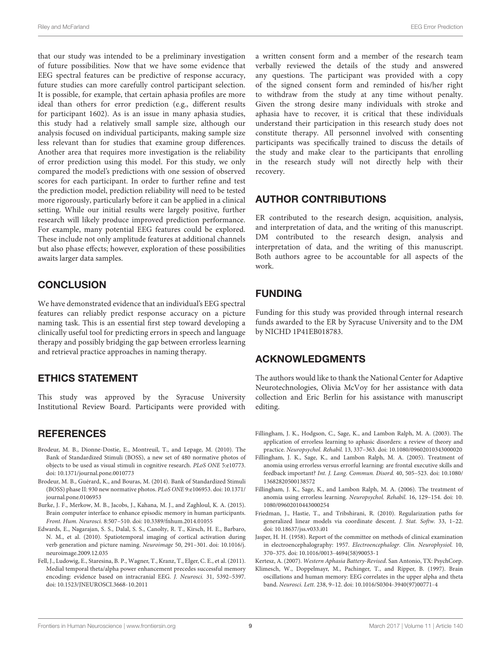that our study was intended to be a preliminary investigation of future possibilities. Now that we have some evidence that EEG spectral features can be predictive of response accuracy, future studies can more carefully control participant selection. It is possible, for example, that certain aphasia profiles are more ideal than others for error prediction (e.g., different results for participant 1602). As is an issue in many aphasia studies, this study had a relatively small sample size, although our analysis focused on individual participants, making sample size less relevant than for studies that examine group differences. Another area that requires more investigation is the reliability of error prediction using this model. For this study, we only compared the model's predictions with one session of observed scores for each participant. In order to further refine and test the prediction model, prediction reliability will need to be tested more rigorously, particularly before it can be applied in a clinical setting. While our initial results were largely positive, further research will likely produce improved prediction performance. For example, many potential EEG features could be explored. These include not only amplitude features at additional channels but also phase effects; however, exploration of these possibilities awaits larger data samples.

# **CONCLUSION**

We have demonstrated evidence that an individual's EEG spectral features can reliably predict response accuracy on a picture naming task. This is an essential first step toward developing a clinically useful tool for predicting errors in speech and language therapy and possibly bridging the gap between errorless learning and retrieval practice approaches in naming therapy.

# ETHICS STATEMENT

This study was approved by the Syracuse University Institutional Review Board. Participants were provided with

# **REFERENCES**

- <span id="page-8-9"></span>Brodeur, M. B., Dionne-Dostie, E., Montreuil, T., and Lepage, M. (2010). The Bank of Standardized Stimuli (BOSS), a new set of 480 normative photos of objects to be used as visual stimuli in cognitive research. PLoS ONE 5:e10773. [doi: 10.1371/journal.pone.0010773](https://doi.org/10.1371/journal.pone.0010773)
- <span id="page-8-10"></span>Brodeur, M. B., Guérard, K., and Bouras, M. (2014). Bank of Standardized Stimuli (BOSS) phase II: 930 new normative photos. PLoS ONE 9:e106953. [doi: 10.1371/](https://doi.org/10.1371/journal.pone.0106953) [journal.pone.0106953](https://doi.org/10.1371/journal.pone.0106953)
- <span id="page-8-6"></span>Burke, J. F., Merkow, M. B., Jacobs, J., Kahana, M. J., and Zaghloul, K. A. (2015). Brain computer interface to enhance episodic memory in human participants. Front. Hum. Neurosci. 8:507–510. [doi: 10.3389/fnhum.2014.01055](https://doi.org/10.3389/fnhum.2014.01055)
- <span id="page-8-4"></span>Edwards, E., Nagarajan, S. S., Dalal, S. S., Canolty, R. T., Kirsch, H. E., Barbaro, N. M., et al. (2010). Spatiotemporal imaging of cortical activation during verb generation and picture naming. Neuroimage 50, 291–301. [doi: 10.1016/j.](https://doi.org/10.1016/j.neuroimage.2009.12.035) [neuroimage.2009.12.035](https://doi.org/10.1016/j.neuroimage.2009.12.035)
- <span id="page-8-5"></span>Fell, J., Ludowig, E., Staresina, B. P., Wagner, T., Kranz, T., Elger, C. E., et al. (2011). Medial temporal theta/alpha power enhancement precedes successful memory encoding: evidence based on intracranial EEG. J. Neurosci. 31, 5392–5397. [doi: 10.1523/JNEUROSCI.3668-10.2011](https://doi.org/10.1523/JNEUROSCI.3668-10.2011)

a written consent form and a member of the research team verbally reviewed the details of the study and answered any questions. The participant was provided with a copy of the signed consent form and reminded of his/her right to withdraw from the study at any time without penalty. Given the strong desire many individuals with stroke and aphasia have to recover, it is critical that these individuals understand their participation in this research study does not constitute therapy. All personnel involved with consenting participants was specifically trained to discuss the details of the study and make clear to the participants that enrolling in the research study will not directly help with their recovery.

# AUTHOR CONTRIBUTIONS

ER contributed to the research design, acquisition, analysis, and interpretation of data, and the writing of this manuscript. DM contributed to the research design, analysis and interpretation of data, and the writing of this manuscript. Both authors agree to be accountable for all aspects of the work.

# FUNDING

Funding for this study was provided through internal research funds awarded to the ER by Syracuse University and to the DM by NICHD 1P41EB018783.

# ACKNOWLEDGMENTS

The authors would like to thank the National Center for Adaptive Neurotechnologies, Olivia McVoy for her assistance with data collection and Eric Berlin for his assistance with manuscript editing.

- <span id="page-8-0"></span>Fillingham, J. K., Hodgson, C., Sage, K., and Lambon Ralph, M. A. (2003). The application of errorless learning to aphasic disorders: a review of theory and practice. Neuropsychol. Rehabil. 13, 337–363. [doi: 10.1080/09602010343000020](https://doi.org/10.1080/09602010343000020)
- <span id="page-8-1"></span>Fillingham, J. K., Sage, K., and Lambon Ralph, M. A. (2005). Treatment of anomia using errorless versus errorful learning: are frontal executive skills and feedback important? Int. J. Lang. Commun. Disord. 40, 505–523. [doi: 10.1080/](https://doi.org/10.1080/13682820500138572) [13682820500138572](https://doi.org/10.1080/13682820500138572)
- <span id="page-8-2"></span>Fillingham, J. K., Sage, K., and Lambon Ralph, M. A. (2006). The treatment of anomia using errorless learning. Neuropsychol. Rehabil. 16, 129–154. [doi: 10.](https://doi.org/10.1080/09602010443000254) [1080/09602010443000254](https://doi.org/10.1080/09602010443000254)
- <span id="page-8-11"></span>Friedman, J., Hastie, T., and Tribshirani, R. (2010). Regularization paths for generalized linear models via coordinate descent. J. Stat. Softw. 33, 1–22. [doi: 10.18637/jss.v033.i01](https://doi.org/10.18637/jss.v033.i01)
- <span id="page-8-8"></span>Jasper, H. H. (1958). Report of the committee on methods of clinical examination in electroencephalography: 1957. Electroencephalogr. Clin. Neurophysiol. 10, 370–375. [doi: 10.1016/0013-4694\(58\)90053-1](https://doi.org/10.1016/0013-4694(58)90053-1)

<span id="page-8-7"></span><span id="page-8-3"></span>Kertesz, A. (2007). Western Aphasia Battery-Revised. San Antonio, TX: PsychCorp.

Klimesch, W., Doppelmayr, M., Pachinger, T., and Ripper, B. (1997). Brain oscillations and human memory: EEG correlates in the upper alpha and theta band. Neurosci. Lett. 238, 9–12. [doi: 10.1016/S0304-3940\(97\)00771-4](https://doi.org/10.1016/S0304-3940(97)00771-4)